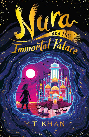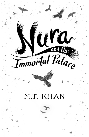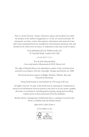This is a work of fiction. Names, characters, places and incidents are either the product of the author's imagination or, if real, are used fictitiously. All statements, activities, stunts, descriptions, information and material of any other kind contained herein are included for entertainment purposes only and should not be relied on for accuracy or replicated as they may result in injury.

> First published 2022 by Walker Books Ltd 87 Vauxhall Walk, London SE11 5HJ

> > 2 4 6 8 10 9 7 5 3 1

Text © 2022 Maeeda Khan Cover and interior illustrations © 2022 Hazem Asif

The right of Maeeda Khan to be identified as author of this work has been asserted in accordance with the Copyright, Designs and Patents Act 1988

This book has been typeset in Badger, Berkeley Oldstyle, Beta and Beyond the Mountain

Printed and bound in Great Britain by CPI Group (UK) Ltd

All rights reserved. No part of this book may be reproduced, transmitted or stored in an information retrieval system in any form or by any means, graphic, electronic or mechanical, including photocopying, taping and recording, without prior written permission from the publisher.

British Library Cataloguing in Publication Data: a catalogue record for this book is available from the British Library

ISBN 978-1-5295-0349-4

www.walker.co.uk

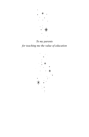

*To my parents for teaching me the value of education*

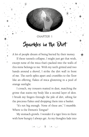

### **CHAPTER 1**

### Sparkles in the Dirt

A lot of people dream of being buried by their money. If these tunnels collapse, I might just get that wish, except none of the mica that's packed into the walls of this mine belongs to me. With my teeth gritted and two hands around a shovel, I strike the dirt wall in front of me. The earth splits apart and crumbles to the floor like an offering, flakes of mica glistening in a pool of orange sunlight.

I crouch, my trousers matted in dust, matching the grime that stains my body like a second layer of skin. I brush my fingers through the pile of dirt, sifting for the precious flakes and dropping them into a basket.

"It's not big enough. None of these are," I mumble. Where is the Demon's Tongue?

My stomach growls. I wonder if a tiger lives in there with how hungry I always get. As my thoughts fade into

 $5 *$ ,  $\frac{1}{2} *$  5  $5 *$ ,  $\frac{1}{2} *$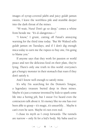images of syrup-covered jalebi and juicy gulab jamun sweets, I leave the worthless pile and stumble deeper into the dark throat of the mines.

"W–wait, Nura! Don't go so deep," comes a whine from beside me. "It's d–dangerous—"

"I know," I grunt, cutting off Faisal's annoying warning for the third time today. "But Mr Waleed sells gulab jamun on Tuesdays, and if I don't dig enough mica today to earn me the rupees to buy one, I'm going to blame you."

If anyone says that they work for passion or world peace and not the delicious food on their plate, they're lying. There's only one truth in this world: everyone's got a hungry monster in their stomach that roars if they don't satisfy it.

And I know well enough to satisfy mine.

It's why I'm searching for the Demon's Tongue, a legendary treasure buried deep in these mines. Maybe it's just a rumour invented by kids to spark some life into a boring job, but I swear I've heard even the contractors talk about it. It's money like no one has ever been able to grasp – it's magic, it's unearthly… Maybe it can't even be seen. Maybe it's not even real.

I chase its myth as I creep forwards. The tunnels are narrow – only fit for a kid's body. My baba used to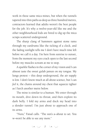work in these same mica mines, but when the tunnels tapered into thin paths as deep as three hundred metres, contractors learned that adults weren't the best people for the job. It's why a twelve-year-old like me and the other neighbourhood kids are hired to dig up the mica scraps scattered underground.

The sharp clang of hammers against stone rams through my eardrums like the ticking of a clock, and the fading sunlight tells me I don't have much time left before we call it a day. I'm here from sunrise to sunset, from the moment my eyes crack open to the last second before my muscles scream at me to stop.

A sparkle flashes in the corner of my vision and I can almost taste the sweet gulab jamun on my tongue. My lungs protest – this deep underground, the air supply is low. I don't know much at all about science, but I can *feel* it, the chains around my chest that squeeze tighter as I lurch another metre below.

The mine is similar to a human. We enter through its mouth, dive down its throat, and then explore its dark belly. I fold my arms and duck my head into a slender tunnel. I'm just about to approach one of its arms.

"Nura," Faisal calls. "The sun's a–about to set. You w–won't be able to see any more."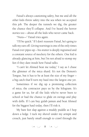Faisal's always cautioning safety, but me and all the other kids threw safety into the sea when we accepted this job. The deeper the tunnels we dig, the greater the chance they'll collapse. And I've heard the horror stories too – about all the kids who never came back.

"Nura—" Faisal tries again.

"I'll be quick." If I don't reassure Faisal, he's going to talk my ears off. Giving warnings is one of the only times Faisal ever pipes up – his stutter is deeply ingrained and a constant source of mockery for the others. One kid is already glancing at him, but I'm not afraid to stomp my feet if they dare insult how Faisal talks.

"I can't let Ahmed beat me today," I say as I chase the glimmer of the mica shard. It's not the Demon's Tongue, but it has to be at least the size of my finger – a big catch that'll turn my haul into the largest one yet.

Sometimes if we dig up a promising collection of mica, the contractor pays us by the kilogram. It's a game for us, for all the kids who've never been to school or had the chance to glide on swings and play with dolls. If I can buy gulab jamun and beat Ahmed for the biggest haul today, then I'll risk it.

My bare feet slap against a muddy puddle as I hop down a ledge. I tuck my shovel under my armpit and crouch, just barely small enough to crawl through the

 $k_{1}^{*}$   $k_{2}^{*}$   $k_{3}^{*}$   $k_{4}^{*}$   $k_{5}^{*}$   $k_{6}^{*}$   $k_{7}^{*}$   $k_{8}^{*}$   $k_{1}^{*}$   $k_{1}^{*}$   $k_{2}^{*}$   $k_{3}^{*}$   $k_{4}^{*}$   $k_{5}^{*}$   $k_{6}^{*}$   $k_{7}^{*}$   $k_{8}^{*}$   $k_{9}^{*}$   $k_{1}^{*}$   $k_{1}^{*}$   $k_{2}^{*}$   $k_{3}^{*}$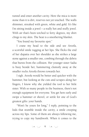tunnel and enter another cavity. Here the mica is more stone than it is dirt, reserves not yet touched. The walls shimmer, streaked with green, white and gold. It's like I'm sitting inside a jewel – a really hot and stuffy jewel. With air that's been torched to forty degrees, my shirt clings to my skin. The heat is a smothering blanket.

"You found my favourite spot."

I crane my head to the side and see Aroofa, a scornful smile tugging at her lips. She flicks the end of her dupatta over her shoulder as she strikes a large stone against a smaller one, combing through the debris that bursts from the collision. Her younger sister Sadia is busy beside her, hammering clumsily away at the smaller rocks Aroofa throws towards her.

I sigh. Aroofa would be better and quicker with the hammer, but looking at the cuts and scrapes along her fingers, I know why she yielded the tool to her little sister. With so many people in the business, there's not enough equipment for everyone. You get here early and swipe a hammer or shovel, or settle for one of God's greatest gifts: your hands.

"Won't be yours for long," I reply, pointing to the kids that stumble inside the cavity, a smile creeping across my lips. Some of them are always following me, trying to copy my handiwork. When it comes to the

 $\sqrt[k+1]{\ast} \, , \quad \frac{\pi}{2} \, , \quad \frac{\pi}{2} \, , \quad \frac{\pi}{2} \, , \quad \frac{\pi}{2} \, , \quad \frac{\pi}{2} \, , \quad \frac{\pi}{2} \, , \quad \frac{\pi}{2} \, , \quad \frac{\pi}{2} \, , \quad \frac{\pi}{2} \, , \quad \frac{\pi}{2} \, , \quad \frac{\pi}{2} \, , \quad \frac{\pi}{2} \, , \quad \frac{\pi}{2} \, , \quad \frac{\pi}{2} \, , \quad \frac{\pi}{2} \, , \quad \frac{\pi}{2} \, , \quad \frac{\pi}{2} \, , \quad \frac$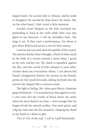largest hauls, I'm second only to Ahmed, and he tends to disappear the second he hops down the mines. Me, on the other hand, I don't mind a little attention.

Aroofa's scowl deepens as the kids surround me, pretending to hack at the walls while their eyes stay glued in my direction. I roll my shoulders back. The stage is set. If they want a performance, I'm about to give those Bollywood actors a run for their money.

I narrow my eyes and catch the sparkle of the crystal. The shard is farther than I thought, a flash of white stuck in the folds of a crevice around a metre deep. I grunt as my arm reaches out. My cheek is squashed against the dirt, and the crowd of kids whisper to each other, curious about my overzealous efforts. I can almost feel Faisal's disapproval thicken the tension in the humid, grimy air, but I push forwards, sliding my body into the narrow slot shaped like a crescent moon.

The light is fading. My vision goes blurry. Someone gasps behind me – I've scratched my shin against a rock. I can't even feel the trickle of blood down my ankle when the mica shard is so close – close enough that my fingers brush the smooth surface. One more grunt, and I dig my nails into the dirt around it, clasping the shard in my hand as I shout in glee.

"Got it! Out of the way," I yell as I pull backwards.

 $k_{1}^{*}$   $k_{2}^{*}$   $k_{3}^{*}$   $k_{4}^{*}$   $10 - k_{1}^{*}$   $k_{1}^{*}$   $k_{2}^{*}$   $k_{3}^{*}$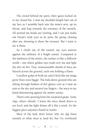The crowd behind me parts, their gazes locked on to my closed fist. I swat my shoulder-length hair out of my face as I stumble back into the mine's arm, up its throat, and leap towards the entrance of the tunnels. All around me heads are turning, and I can just make out Faisal's wide eyes as he joins the group chasing after me, shouting to show the treasure. But I want to see it shine.

As I climb out of the tunnel, my eyes narrow against the embrace of a bright sunset. Compared to the darkness of the mines, the surface is like a different world – one where golden rays wash over me and light the dirt on fire. Tiny, immeasurable shards of mica are littered across the ground, each one holding a flame.

I swallow gulps of fresh air, and it feels like my lungs grow three sizes bigger. The kids above ground who are sifting through baskets of dirt glance over as I raise an arm to the sky and unravel my fingers – the mica in my hand shimmering against the amber sunset.

There's awe pouring from the surprised gasps. Some clap, others whistle. I lower the mica shard down to eye level, and the light shines off it like a wink. It's the biggest piece anyone's found in weeks.

Most of the kids don't know why we dig these tunnels or what mica is used for, but I've overheard

 $\mathbf{1}_{k} \ast_{1} \quad \mathbf{1}_{k} \ast_{1} = \mathbf{1}_{1} \quad \mathbf{1}_{k} \ast_{1} \quad \mathbf{1}_{k} \ast_{1}$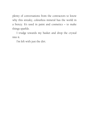plenty of conversations from the contractors to know why this streaky, colourless mineral has the world in a frenzy. It's used in paint and cosmetics – to make things sparkle.

I trudge towards my basket and drop the crystal into it.

I'm left with just the dirt.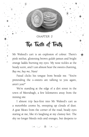

### **CHAPTER 2**

## The Taste of Truth

Mr Waleed's cart is an explosion of colour. There's pink mithai, glistening brown gulab jamun and bright orange laddu burning my eyes. My nose tickles at the heady scent, and I can almost hear the sweets chanting, *Buy me, buy me, Nura!*

Faisal clicks his tongue from beside me. "You're pretending the s–sweets are talking to you again, aren't you?"

We're standing at the edge of a dirt street in the town of Meerabagh, a few kilometres away from the mining site.

I almost trip face-first into Mr Waleed's cart as a motorbike zooms by, sweeping up clouds of dust. A goat bleats from the corner of the road, beady eyes staring at me, like it's laughing at my clumsy feet. The sky no longer bleeds reds and oranges, but deepens to

 $5 *$ ,  $\frac{1}{2} *$  13  $5 *$ ,  $\frac{1}{2} *$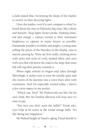a dark muted blue, beckoning the shops of the market to switch on their dizzying lights.

I love the market, even if it can't compare to what I've heard about the ones in Pakistan's big cities, like Lahore and Karachi. Shop lights flicker awake, flashing white, red and orange – colours turned to their maximum brightness to capture as many buyers as possible. Handmade jewellery twinkles and jingles, a young man yelling the prices of the bracelets in the display case to anyone passing by. There are fruit stalls, clothing stores with racks and racks of vivid, beaded fabric and carts with toys that roll down the road in the hope that some kid will tug their parents towards it.

When night unfurls its fingers and rakes through Meerabagh, it makes sure to turn the usually quiet and dry streets of the daytime into a town that's alive with excitement. And I'm especially excited today – there's a few extra rupees in my pocket.

"Which one, beta?" Mr Waleed asks me like I'm his own child. But the familial affection will stop once it's time to pay.

"You sure you don't want the laddu?" Faisal asks, eyes wide as he stares at the round orange balls. "It's like biting into happiness."

Mr Waleed laughs at Faisal's ogling. Faisal should've

 $\sqrt[k]{*}, *_{k+1}^* = 14 - \sqrt[k]{*}, *_{k+1}^*$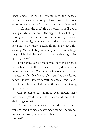been a poet. He has the wistful gaze and delicate features of someone who's good with words. But none of us can really read. We've never spent a day in school.

I suck back the drool that threatens to spill down my lips. Eid al-Adha, one of the biggest Islamic holidays, is only a few days from now. It's the kind you spend with your family, remembering all that you're grateful for, and it's the reason sparks fly in my stomach this evening. Maybe if I buy something nice for my siblings, they might feel like we're actually celebrating. "Five gulabs, please."

Mining mica doesn't make you the world's richest kid, actually quite the opposite – we only do it because we're low on money. The daily pay is about two hundred rupees, which is barely enough to buy five pencils. But today – today I deserve something special, and I can't wait to see Maa's face light up at the sight of glistening gulab jamuns.

Faisal refuses to buy anything, even though I hear his stomach growl. Pink tints his ears, and I tousle his dark tangle of hair.

"No one in my family is as obsessed with sweets as you are. And my maa already made dinner," he whines in defence. "Are you sure you should even be buying th–that?"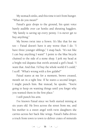My stomach sinks, and this time it isn't from hunger. "What do you mean?"

Faisal's gaze drops to the ground, his quiet voice barely audible over car honks and shouting hagglers. "My family is saving up every penny. I n–never get to buy anything."

My brows twist into a frown. It's like that for me too – Faisal doesn't have it any worse than I do. "I have three younger siblings," I snap back. "It's not like I can buy anything I want!" I point to the blue bicycle chained to the side of a stone shop. I jerk my head at a bright red dupatta that swirls around a girl's head. "I want that. And that. I'd buy the whole world if I could," I scoff. "What's wrong with a few gulabs?"

Faisal stares at me for a moment, brows creased, mouth set in a tight line. If he stares a second longer, I might punch him. But instead, he speaks. "You're going to keep on wanting things until you forget why you wanted them in the first place."

I still punch his arm.

I've known Faisal since we both started mining at six years old. He lives across the street from me, and his mother is a sweet angel with twin daughters she carries across her back like wings. Faisal's baba drives a truck from town to town to deliver crates of minerals

 $\therefore$ \*, ' $\downarrow$ \*' 16 ' $\downarrow$ \*, ' $\downarrow$ \*'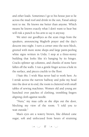and other loads. Sometimes I go to his house just to lie across the mud roof and drink in the sun, Faisal asleep next to me. He knows me better than anyone. Which means he knows exactly what I don't want to hear but will risk a punch to his arm to say it anyway.

We utter our goodbyes as the azan rings from the speakers, announcing Maghrib prayer and the day's descent into night. I turn a corner onto the next block, greeted with more stone shops and large paint-peeling white signs written in Urdu. I stop at a three-storey building that looks like it's hanging by its hinges. Cracks splinter up columns, and chunks of stone have fallen off the walls. I run a gentle finger across a hole in the surface, and pieces crackle to the floor.

*I hate this.* I wish Maa never had to work here. As I stride across the narrow hallway and poke my head into the door at its end, the room is cluttered with small tables of sewing machines. Women old and young are hunched over patches of clothing, trembling fingers aligning cloth against needle.

"Nura," my maa calls as she slips out the door, blocking my view of the room. "I told you to wait outside."

Maa's eyes are a watery brown, like diluted cane sugar, soft and unfocused from hours of straining

 $\sqrt{17}$   $\frac{1}{2}$   $\frac{1}{2}$   $\frac{1}{2}$   $\frac{1}{2}$   $\frac{1}{2}$   $\frac{1}{2}$   $\frac{1}{2}$   $\frac{1}{2}$   $\frac{1}{2}$   $\frac{1}{2}$   $\frac{1}{2}$   $\frac{1}{2}$   $\frac{1}{2}$   $\frac{1}{2}$   $\frac{1}{2}$   $\frac{1}{2}$   $\frac{1}{2}$   $\frac{1}{2}$   $\frac{1}{2}$   $\frac{1}{2}$   $\frac{1}{2}$   $\$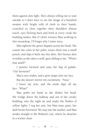them against dim light. She's always telling me to wait outside so I don't have to see the image of a hundred women with bright rolls of cloth in their hands, crouched so close together their shoulders almost touch, eyes flicking back and forth at every creak the building makes. But if I don't witness Maa working in this sweatshop, I'll forget why I mine mica.

Maa tightens the green dupatta across her head. She counts the coins in her palm, tosses them into a small pouch, and slips it back into her shirt. Her bronze skin wrinkles as she takes a sniff, gaze sliding to me. "What's that smell?"

I pounce forward and raise the bag of gulabs. "Our favourite!"

Maa's eyes widen, and a grin snaps onto my face.

But she doesn't mirror my excitement. "Nura."

I lower my arm, and the smile slips off my face. "What?"

Maa grabs my hand as she shakes her head. We trudge down the hallway and out of the creaky building, into the night air and under the flashes of yellow lights. I tug her arm, but Maa stays quiet, her dark brows furrowed. We step into the market, and Maa strides straight to Mr Waleed's cart, where he slouches in a wicker chair.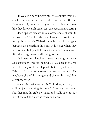Mr Waleed's bony fingers pull the cigarette from his cracked lips as he puffs a cloud of smoke into the air. "Nasreen baji," he says to my mother, calling her *sister*, like they know each other past the occasional greeting.

Maa's lips are creased into a forced smile. "I want to return these." She lifts the bag of gulabs. A knot forms in my throat as Mr Waleed flicks his half-lidded gaze between us, something like pity in his eyes when they land on me. But pity lasts only a few seconds in a town like Meerabagh – we're all trying to survive.

He bursts into laughter instead, waving her away as a customer lines up behind us. My cheeks are red hot like they've been slapped, but I'm just relieved Faisal isn't here to witness the embarrassment. He would've clicked his tongue and shaken his head like a grandmother.

When Maa asks again, Mr Waleed says, "Let your child enjoy something for once." It's enough for her to shut her mouth, grab my hand and walk back to our hut at the outskirts of the town in silence.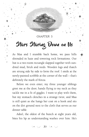

### **CHAPTER 3**

# Stars Staring Down on Us

As Maa and I stumble back home, we pass hills shrouded in haze and towering rock formations. Our hut is a two-room rectangle slapped together with sundried mud, brick and reeds. Wooden logs and thatch are strung side by side to form the roof. I smile at the newly-painted scribble at the corner of the wall – that's definitely the mark of Kinza.

Before we even enter, my three younger siblings greet me at the door, hands flying to my neck as they tackle me in a fit of giggles. I want to play with them, but my stomach clenches in a strange twist, and Maa is still quiet as she hangs her coat on a hook and sits on the dirt ground next to the cloth that serves as our dinner table.

Adeel, the oldest of the bunch at eight years old, bites his lip as understanding washes over him. He's

 $20 - 20$   $30 - 20$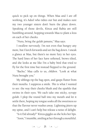quick to pick up on things. When Maa and I are off working, it's Adeel who tidies our hut and makes sure my two younger sisters don't burn the place down. Speaking of those devils, Kinza and Rabia are still bumbling around, hopping towards Maa to plant a kiss on each of her cheeks.

"Nura, bring the gulab jamuns," Maa says.

I swallow nervously. I'm not even that hungry any more, but I lurch forwards and set the bag down. I sneak a glance at Maa, but there's no more fury in her eyes. The hard lines of her face have softened, brows tilted, and she looks at me like I'm a baby bird that tried to fly for the first time but instead flopped to the ground.

"Bacho," Maa calls to us, *children*. "Look at what Nura brought you."

My siblings rip the bag open, and gasps flutter from their mouths. I suppress a smile. *This* is what I wanted to see: the way their cheeks blush and the sparkle that swims in their eyes. We each take one sticky, syrupy gulab. I plop the round ball into my mouth and let it settle there, hoping my tongue soaks all the sweetness so that the flavour never washes away. Lightning jitters up my spine, and I can't help but release a noise of delight.

"Is it Eid already?" Kinza giggles as she licks her lips. "Soon," I mumble, smiling at her through a mouthful.

 $21 - 21 - 21$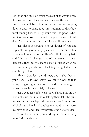Eid is the one time our town goes out of its way to prove it's alive, and one of my favourite times of the year. Soon the streets will be brimming with families hopping door-to-door to share food. It's tradition to distribute meat among friends, neighbours and the poor. When most of your town lives with empty pockets, it still doesn't add up to much – but I love it all the same.

Maa places yesterday's leftover dinner of rice and vegetable curry on a large plate, and we devour it like a flock of hungry vultures. There's still dirt in my hair, and Maa hasn't changed out of her sweaty shalwar kameez either, but we share a look of peace when we see my younger siblings absolutely delighted at the simple joy of food.

"Thank God for your dinner, and make dua for your baba," Maa says softly. We quiet down at that, whispering our gratitude to God and then praying our father makes his way safely to heaven.

Maa's eyes resemble wells now, glassy and on the brink of tears, but instead of letting them fall, she pulls my sisters into her lap and reaches to pat Adeel's bush of black hair. Finally, she takes my hand in her worn, leathery ones, and I feel my breath strangle to release.

"Nura, I don't want you working in the mines any more," Maa whispers.

 $22 - 24$ ,  $22 - 24$ ,  $24 - 24$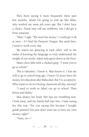She's been saying it more frequently these past few months, afraid I'm going to end up like Baba, who worked my same job years ago. But I don't have a choice. Faisal may call me stubborn, but I *did* get it from someone.

"Maa," I sigh. "We need the money." I could get it all at once – if I find the Demon's Tongue. But until then, I need to work every day.

My sisters are glancing at each other, still in the midst of learning the language to truly understand the weight of our words. Adeel only gazes down at the floor.

Maa's chest falls with a choked gasp. "I want you to go to school."

*This is ridiculous.* I know it. Maa knows it. I lost my will to go to school long ago. I knew I'd never have the money for education after Baba died. But I've accepted it. Who wants to sit in a boring classroom all day, anyway?

"I need to work so Adeel can go to school. Then Kinza and Rabia."

Maa shakes her head. Her lips are trembling now. I look away, and my hands ball into fists. I hate seeing her this way. "Are you saying this because I bought gulab jamuns? You just don't want me to have my own money, right?"

"Nura, *no*—"

 $23 - 23$   $3 + 12$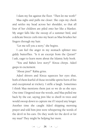I slam my fist against the floor. "Then let me work!"

Maa sighs and pulls me closer. She cups my cheek and settles my head across her shoulder, so that all four of her children are piled onto her like a blanket. My anger falls like the swoop of a summer bird, and a delicate breeze curls into my heart as Maa brushes her fingers through my hair.

"Let me tell you a story," she begins.

I can feel the anger in my stomach splinter into giddy butterflies. "Is it an excerpt from the Quran?" I ask, eager to learn more about the Islamic holy book.

"You and Baba's love story?" Kinza chirps. Adeel gasps in excitement.

"About jinn?" Rabia grins.

Adeel shivers and Kinza squeezes her eyes shut, both of them fearful of those invisible spirits born of fire and exceptional at trickery. I stifle a laugh. Sometimes I think Maa mentions them just so we do as she says. One time I lingered near the woods, and Maa pulled me back by the ear, saying jinn like to dwell in trees and would swoop down to capture me if I stayed any longer. Another time she caught Adeel skipping morning prayer and told him jinn were whispering the words of the devil in his ears. Do they work for the devil or for my maa? They might be helping her more.

 $\sqrt[k]{*}, *_{k+1}^*$  24  $\sqrt[k]{*}, *_{k+1}^*$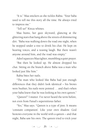"It is." Maa snickers as she tickles Rabia. "Your baba used to tell me this story all the time. He always tried to impress me."

"Tell us!" Kinza whines.

Maa hums, her gaze skyward, glancing at the glittering stars that hang above the streets of shimmering dirt. "Baba was walking down the road one night, when he stopped under a tree to drink his chai. He kept on hearing voices, and a teasing laugh. But there wasn't anyone around him, and the road was empty."

Adeel squeezes Maa tighter, mumbling a quiet prayer.

"But then he looked up. He almost dropped his chai. Sitting on the branch above Baba was a man who looked just like him."

Rabia bites her nails.

"The man who looked like Baba had just enough differences that they didn't look identical – his brows were bushier, his nails were pointed … and that's when your baba knew that he was looking at his own qareen."

"Qareen?" I mutter. I've never heard the term before, not even from Faisal's superstitious father.

"Yes," Maa says. "Qareen is a type of jinn. It means 'constant companion'. Like your own shadow. God bestows everyone in the world with a qareen – and that night, Baba saw his own. The qareen tried to trick your

 $\sqrt[4]{*}, *_{\pm\pm\pm}^+$  25  $\sqrt[4]{*}, *_{\pm\pm\pm}^+$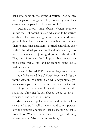baba into going in the wrong direction, tried to give him suspicious things, and kept following your baba even when the paved road turned to dirt."

I suck in a breath. Jinn are born tricksters. Everyone knows that – it doesn't take an education to be warned of them. The wizened grandmothers around town gather kids and tell them stories about how jinn haunted their homes, misplaced items, or tried controlling their bodies. You don't go near an abandoned site if you've heard rumours about jinn sightings or felt the air shift. They aren't fairy tales. It's kala jadu – black magic. My uncle once met a jinn, and he stopped going out at night ever since.

"What did Baba do?" Kinza mumbles, eyes still shut.

"Your baba recited Ayat al-Kursi." Maa smiled. "It's the throne verse in the Quran. God will always protect you from harm if you recite it. The jinn disappeared after that."

I fidget with the hem of my shirt, picking at a dirt stain. "But if reciting the verse keeps you out of harm … why isn't Baba here with us now?"

Maa smiles and pulls me close, and behind all the sweat and dust, I smell cinnamon and cumin powder, love and comfort, and peace. "Baba is looking out for us from above. Whenever you think of doing a bad thing, remember that Baba is always watching."

 $k_{1,k}^{*}$   $k_{1,k+1}^{*}$  26  $k_{1,k+1}^{*}$   $k_{1,k+1}^{*}$